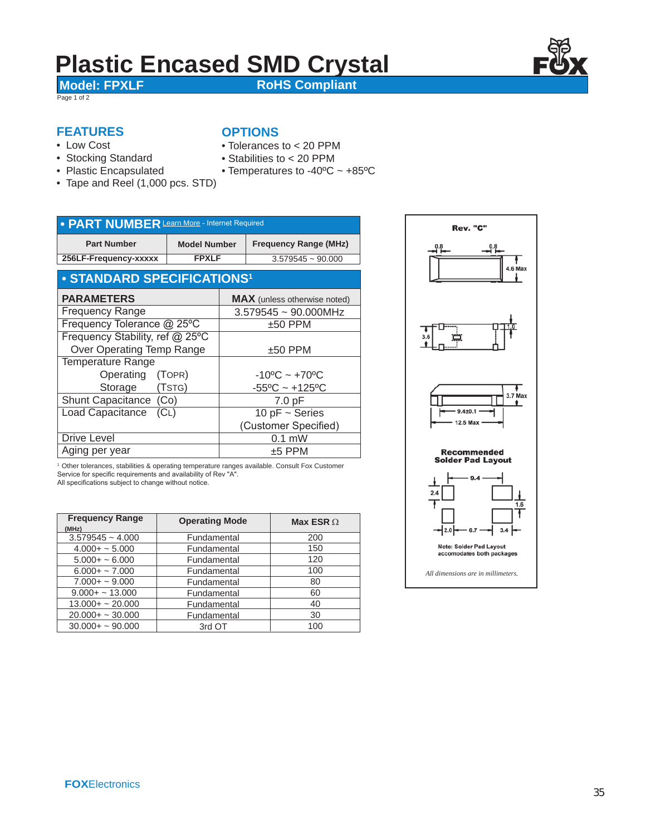# **Plastic Encased SMD Crystal**<br>Model: FPXLF<br>RoHS Compliant

**OPTIONS**

Page 1 of 2

**RoHS Compliant** 

#### **FEATURES**

- Low Cost
- Stocking Standard
- Plastic Encapsulated
- Stabilities to < 20 PPM

• Tolerances to < 20 PPM

- Temperatures to -40ºC ~ +85ºC
- Tape and Reel (1,000 pcs. STD)

| • PART NUMBER Learn More - Internet Required |                     |                                     |                              |  |  |  |  |  |  |  |
|----------------------------------------------|---------------------|-------------------------------------|------------------------------|--|--|--|--|--|--|--|
| <b>Part Number</b>                           | <b>Model Number</b> |                                     | <b>Frequency Range (MHz)</b> |  |  |  |  |  |  |  |
| 256LF-Frequency-xxxxx                        | <b>FPXLF</b>        |                                     | $3.579545 \sim 90.000$       |  |  |  |  |  |  |  |
| • STANDARD SPECIFICATIONS <sup>1</sup>       |                     |                                     |                              |  |  |  |  |  |  |  |
| <b>PARAMETERS</b>                            |                     | <b>MAX</b> (unless otherwise noted) |                              |  |  |  |  |  |  |  |
| <b>Frequency Range</b>                       |                     | $3.579545 \sim 90.000$ MHz          |                              |  |  |  |  |  |  |  |
| Frequency Tolerance @ 25°C                   |                     | $±50$ PPM                           |                              |  |  |  |  |  |  |  |
| Frequency Stability, ref @ 25°C              |                     |                                     |                              |  |  |  |  |  |  |  |
| Over Operating Temp Range                    |                     | $\pm 50$ PPM                        |                              |  |  |  |  |  |  |  |
| <b>Temperature Range</b>                     |                     |                                     |                              |  |  |  |  |  |  |  |
| Operating (TOPR)                             |                     | $-10^{\circ}$ C ~ $+70^{\circ}$ C   |                              |  |  |  |  |  |  |  |
| Storage (TSTG)                               |                     |                                     | $-55^{\circ}$ C ~ +125°C     |  |  |  |  |  |  |  |
| Shunt Capacitance (Co)                       |                     |                                     | 7.0 pF                       |  |  |  |  |  |  |  |
| <b>Load Capacitance</b><br>(CL)              |                     |                                     | $10$ pF $\sim$ Series        |  |  |  |  |  |  |  |
|                                              |                     |                                     | (Customer Specified)         |  |  |  |  |  |  |  |
| Drive Level                                  |                     | $0.1$ mW                            |                              |  |  |  |  |  |  |  |
| Aging per year                               |                     | $±5$ PPM                            |                              |  |  |  |  |  |  |  |

1 Other tolerances, stabilities & operating temperature ranges available. Consult Fox Customer Service for specific requirements and availability of Rev "A". All specifications subject to change without notice.

| <b>Frequency Range</b> | <b>Operating Mode</b> | Max ESR $\Omega$ |  |  |
|------------------------|-----------------------|------------------|--|--|
| (MHz)                  |                       |                  |  |  |
| $3.579545 - 4.000$     | Fundamental           | 200              |  |  |
| $4.000 + - 5.000$      | Fundamental           | 150              |  |  |
| $5.000 + - 6.000$      | Fundamental           | 120              |  |  |
| $6.000 + - 7.000$      | Fundamental           | 100              |  |  |
| $7.000 + - 9.000$      | Fundamental           | 80               |  |  |
| $9.000 + - 13.000$     | Fundamental           | 60               |  |  |
| $13.000 + - 20.000$    | Fundamental           | 40               |  |  |
| $20.000 + - 30.000$    | Fundamental           | 30               |  |  |
| $30.000 + - 90.000$    | 3rd OT                | 100              |  |  |